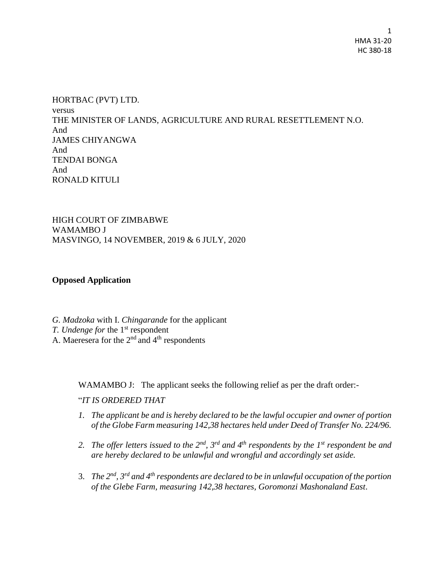HORTBAC (PVT) LTD. versus THE MINISTER OF LANDS, AGRICULTURE AND RURAL RESETTLEMENT N.O. And JAMES CHIYANGWA And TENDAI BONGA And RONALD KITULI

HIGH COURT OF ZIMBABWE WAMAMBO J MASVINGO, 14 NOVEMBER, 2019 & 6 JULY, 2020

## **Opposed Application**

*G. Madzoka* with I. *Chingarande* for the applicant *T. Undenge for* the 1<sup>st</sup> respondent A. Maeresera for the  $2<sup>nd</sup>$  and  $4<sup>th</sup>$  respondents

WAMAMBO J: The applicant seeks the following relief as per the draft order:-

## "*IT IS ORDERED THAT*

- *1. The applicant be and is hereby declared to be the lawful occupier and owner of portion of the Globe Farm measuring 142,38 hectares held under Deed of Transfer No. 224/96.*
- *2. The offer letters issued to the 2nd, 3rd and 4th respondents by the 1st respondent be and are hereby declared to be unlawful and wrongful and accordingly set aside.*
- 3. *The 2nd, 3rd and 4th respondents are declared to be in unlawful occupation of the portion of the Glebe Farm, measuring 142,38 hectares, Goromonzi Mashonaland East*.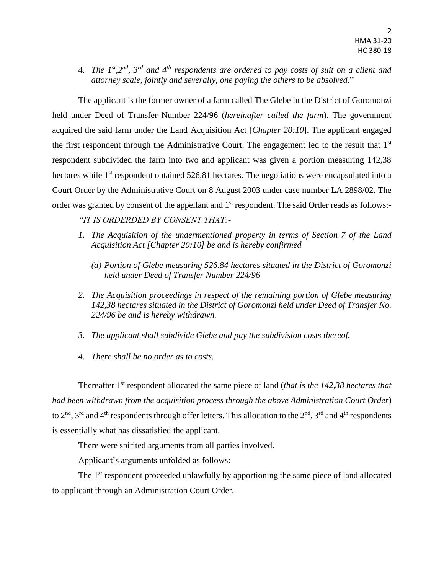4. *The 1<sup>st</sup>*, 2<sup>nd</sup>, 3<sup>rd</sup> and 4<sup>th</sup> respondents are ordered to pay costs of suit on a client and *attorney scale, jointly and severally, one paying the others to be absolved*."

The applicant is the former owner of a farm called The Glebe in the District of Goromonzi held under Deed of Transfer Number 224/96 (*hereinafter called the farm*). The government acquired the said farm under the Land Acquisition Act [*Chapter 20:10*]. The applicant engaged the first respondent through the Administrative Court. The engagement led to the result that 1st respondent subdivided the farm into two and applicant was given a portion measuring 142,38 hectares while 1<sup>st</sup> respondent obtained 526,81 hectares. The negotiations were encapsulated into a Court Order by the Administrative Court on 8 August 2003 under case number LA 2898/02. The order was granted by consent of the appellant and 1<sup>st</sup> respondent. The said Order reads as follows:-

*"IT IS ORDERDED BY CONSENT THAT:-*

- *1. The Acquisition of the undermentioned property in terms of Section 7 of the Land Acquisition Act [Chapter 20:10] be and is hereby confirmed* 
	- *(a) Portion of Glebe measuring 526.84 hectares situated in the District of Goromonzi held under Deed of Transfer Number 224/96*
- *2. The Acquisition proceedings in respect of the remaining portion of Glebe measuring 142,38 hectares situated in the District of Goromonzi held under Deed of Transfer No. 224/96 be and is hereby withdrawn.*
- *3. The applicant shall subdivide Glebe and pay the subdivision costs thereof.*
- *4. There shall be no order as to costs.*

Thereafter 1st respondent allocated the same piece of land (*that is the 142,38 hectares that had been withdrawn from the acquisition process through the above Administration Court Order*) to 2<sup>nd</sup>, 3<sup>rd</sup> and 4<sup>th</sup> respondents through offer letters. This allocation to the 2<sup>nd</sup>, 3<sup>rd</sup> and 4<sup>th</sup> respondents is essentially what has dissatisfied the applicant.

There were spirited arguments from all parties involved.

Applicant's arguments unfolded as follows:

The 1<sup>st</sup> respondent proceeded unlawfully by apportioning the same piece of land allocated to applicant through an Administration Court Order.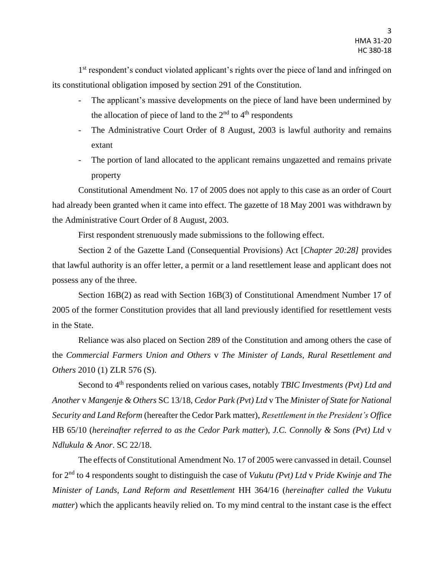1<sup>st</sup> respondent's conduct violated applicant's rights over the piece of land and infringed on its constitutional obligation imposed by section 291 of the Constitution.

- The applicant's massive developments on the piece of land have been undermined by the allocation of piece of land to the  $2<sup>nd</sup>$  to  $4<sup>th</sup>$  respondents
- The Administrative Court Order of 8 August, 2003 is lawful authority and remains extant
- The portion of land allocated to the applicant remains ungazetted and remains private property

Constitutional Amendment No. 17 of 2005 does not apply to this case as an order of Court had already been granted when it came into effect. The gazette of 18 May 2001 was withdrawn by the Administrative Court Order of 8 August, 2003.

First respondent strenuously made submissions to the following effect.

Section 2 of the Gazette Land (Consequential Provisions) Act [*Chapter 20:28]* provides that lawful authority is an offer letter, a permit or a land resettlement lease and applicant does not possess any of the three.

Section 16B(2) as read with Section 16B(3) of Constitutional Amendment Number 17 of 2005 of the former Constitution provides that all land previously identified for resettlement vests in the State.

Reliance was also placed on Section 289 of the Constitution and among others the case of the *Commercial Farmers Union and Others* v *The Minister of Lands, Rural Resettlement and Others* 2010 (1) ZLR 576 (S).

Second to 4th respondents relied on various cases, notably *TBIC Investments (Pvt) Ltd and Another* v *Mangenje & Others* SC 13/18, *Cedor Park (Pvt) Ltd* v The *Minister of State for National Security and Land Reform* (hereafter the Cedor Park matter), *Resettlement in the President's Office* HB 65/10 (*hereinafter referred to as the Cedor Park matter*)*, J.C. Connolly & Sons (Pvt) Ltd* v *Ndlukula & Anor*. SC 22/18.

The effects of Constitutional Amendment No. 17 of 2005 were canvassed in detail. Counsel for 2nd to 4 respondents sought to distinguish the case of *Vukutu (Pvt) Ltd* v *Pride Kwinje and The Minister of Lands, Land Reform and Resettlement* HH 364/16 (*hereinafter called the Vukutu matter*) which the applicants heavily relied on. To my mind central to the instant case is the effect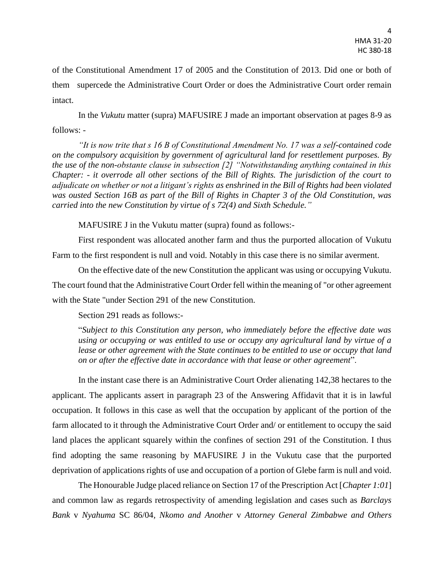of the Constitutional Amendment 17 of 2005 and the Constitution of 2013. Did one or both of them supercede the Administrative Court Order or does the Administrative Court order remain intact.

In the *Vukutu* matter (supra) MAFUSIRE J made an important observation at pages 8-9 as follows: -

*"It is now trite that s 16 B of Constitutional Amendment No. 17 was a self-contained code on the compulsory acquisition by government of agricultural land for resettlement purposes. By the use of the non-obstante clause in subsection [2] "Notwithstanding anything contained in this Chapter: - it overrode all other sections of the Bill of Rights. The jurisdiction of the court to adjudicate on whether or not a litigant's rights as enshrined in the Bill of Rights had been violated was ousted Section 16B as part of the Bill of Rights in Chapter 3 of the Old Constitution, was carried into the new Constitution by virtue of s 72(4) and Sixth Schedule."*

MAFUSIRE J in the Vukutu matter (supra) found as follows:-

First respondent was allocated another farm and thus the purported allocation of Vukutu Farm to the first respondent is null and void. Notably in this case there is no similar averment.

On the effective date of the new Constitution the applicant was using or occupying Vukutu. The court found that the Administrative Court Order fell within the meaning of "or other agreement with the State "under Section 291 of the new Constitution.

Section 291 reads as follows:-

"*Subject to this Constitution any person, who immediately before the effective date was using or occupying or was entitled to use or occupy any agricultural land by virtue of a*  lease or other agreement with the State continues to be entitled to use or occupy that land *on or after the effective date in accordance with that lease or other agreement*".

In the instant case there is an Administrative Court Order alienating 142,38 hectares to the applicant. The applicants assert in paragraph 23 of the Answering Affidavit that it is in lawful occupation. It follows in this case as well that the occupation by applicant of the portion of the farm allocated to it through the Administrative Court Order and/ or entitlement to occupy the said land places the applicant squarely within the confines of section 291 of the Constitution. I thus find adopting the same reasoning by MAFUSIRE J in the Vukutu case that the purported deprivation of applications rights of use and occupation of a portion of Glebe farm is null and void.

The Honourable Judge placed reliance on Section 17 of the Prescription Act [*Chapter 1:01*] and common law as regards retrospectivity of amending legislation and cases such as *Barclays Bank* v *Nyahuma* SC 86/04*, Nkomo and Another* v *Attorney General Zimbabwe and Others*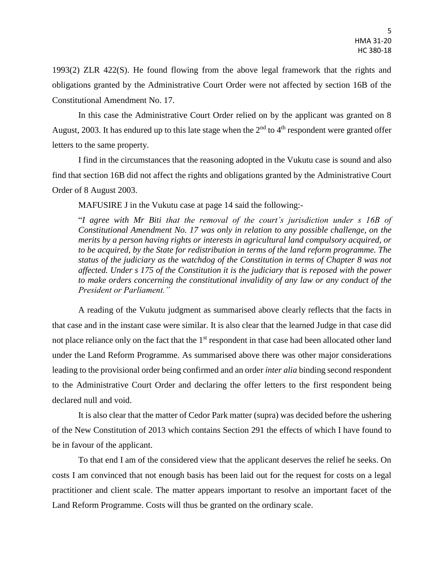1993(2) ZLR 422(S). He found flowing from the above legal framework that the rights and obligations granted by the Administrative Court Order were not affected by section 16B of the Constitutional Amendment No. 17.

In this case the Administrative Court Order relied on by the applicant was granted on 8 August, 2003. It has endured up to this late stage when the 2<sup>nd</sup> to 4<sup>th</sup> respondent were granted offer letters to the same property.

I find in the circumstances that the reasoning adopted in the Vukutu case is sound and also find that section 16B did not affect the rights and obligations granted by the Administrative Court Order of 8 August 2003.

MAFUSIRE J in the Vukutu case at page 14 said the following:-

"*I agree with Mr Biti that the removal of the court's jurisdiction under s 16B of Constitutional Amendment No. 17 was only in relation to any possible challenge, on the merits by a person having rights or interests in agricultural land compulsory acquired, or to be acquired, by the State for redistribution in terms of the land reform programme. The status of the judiciary as the watchdog of the Constitution in terms of Chapter 8 was not affected. Under s 175 of the Constitution it is the judiciary that is reposed with the power to make orders concerning the constitutional invalidity of any law or any conduct of the President or Parliament."*

A reading of the Vukutu judgment as summarised above clearly reflects that the facts in that case and in the instant case were similar. It is also clear that the learned Judge in that case did not place reliance only on the fact that the 1<sup>st</sup> respondent in that case had been allocated other land under the Land Reform Programme. As summarised above there was other major considerations leading to the provisional order being confirmed and an order *inter alia* binding second respondent to the Administrative Court Order and declaring the offer letters to the first respondent being declared null and void.

It is also clear that the matter of Cedor Park matter (supra) was decided before the ushering of the New Constitution of 2013 which contains Section 291 the effects of which I have found to be in favour of the applicant.

To that end I am of the considered view that the applicant deserves the relief he seeks. On costs I am convinced that not enough basis has been laid out for the request for costs on a legal practitioner and client scale. The matter appears important to resolve an important facet of the Land Reform Programme. Costs will thus be granted on the ordinary scale.